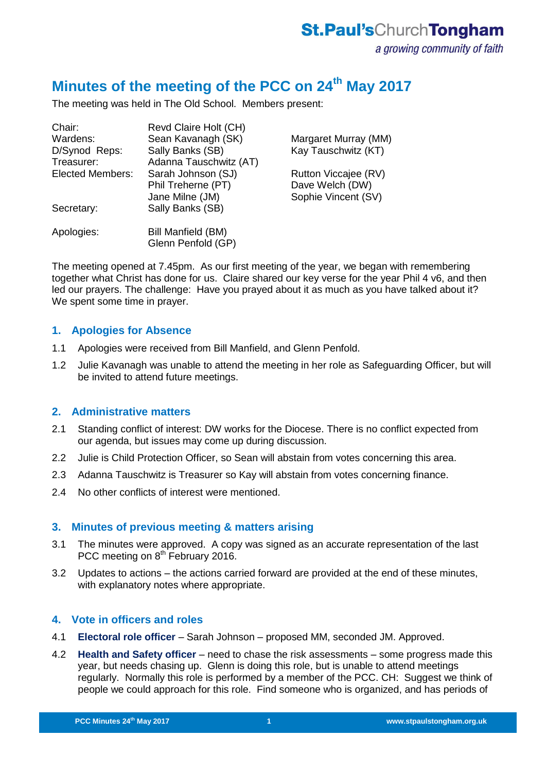# **Minutes of the meeting of the PCC on 24th May 2017**

The meeting was held in The Old School. Members present:

| Revd Claire Holt (CH)                    |                      |
|------------------------------------------|----------------------|
| Sean Kavanagh (SK)                       | Margaret Murray (MM) |
| Sally Banks (SB)                         | Kay Tauschwitz (KT)  |
| Adanna Tauschwitz (AT)                   |                      |
| Sarah Johnson (SJ)                       | Rutton Viccajee (RV) |
| Phil Treherne (PT)                       | Dave Welch (DW)      |
| Jane Milne (JM)                          | Sophie Vincent (SV)  |
| Sally Banks (SB)                         |                      |
| Bill Manfield (BM)<br>Glenn Penfold (GP) |                      |
|                                          |                      |

The meeting opened at 7.45pm. As our first meeting of the year, we began with remembering together what Christ has done for us. Claire shared our key verse for the year Phil 4 v6, and then led our prayers. The challenge: Have you prayed about it as much as you have talked about it? We spent some time in prayer.

## **1. Apologies for Absence**

- 1.1 Apologies were received from Bill Manfield, and Glenn Penfold.
- 1.2 Julie Kavanagh was unable to attend the meeting in her role as Safeguarding Officer, but will be invited to attend future meetings.

## **2. Administrative matters**

- 2.1 Standing conflict of interest: DW works for the Diocese. There is no conflict expected from our agenda, but issues may come up during discussion.
- 2.2 Julie is Child Protection Officer, so Sean will abstain from votes concerning this area.
- 2.3 Adanna Tauschwitz is Treasurer so Kay will abstain from votes concerning finance.
- 2.4 No other conflicts of interest were mentioned.

## **3. Minutes of previous meeting & matters arising**

- 3.1 The minutes were approved. A copy was signed as an accurate representation of the last PCC meeting on 8<sup>th</sup> February 2016.
- 3.2 Updates to actions the actions carried forward are provided at the end of these minutes, with explanatory notes where appropriate.

## **4. Vote in officers and roles**

4.1 **Electoral role officer** – Sarah Johnson – proposed MM, seconded JM. Approved.

**PCC Minutes 17th September 2015 1**

4.2 **Health and Safety officer** – need to chase the risk assessments – some progress made this year, but needs chasing up. Glenn is doing this role, but is unable to attend meetings regularly. Normally this role is performed by a member of the PCC. CH: Suggest we think of people we could approach for this role. Find someone who is organized, and has periods of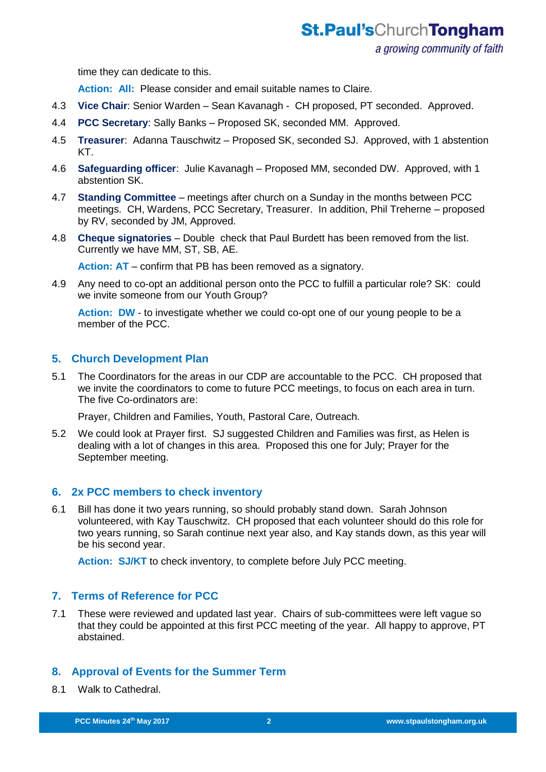time they can dedicate to this.

**Action: All:** Please consider and email suitable names to Claire.

- 4.3 **Vice Chair**: Senior Warden Sean Kavanagh CH proposed, PT seconded. Approved.
- 4.4 **PCC Secretary**: Sally Banks Proposed SK, seconded MM. Approved.
- 4.5 **Treasurer**: Adanna Tauschwitz Proposed SK, seconded SJ. Approved, with 1 abstention KT.
- 4.6 **Safeguarding officer**: Julie Kavanagh Proposed MM, seconded DW. Approved, with 1 abstention SK.
- 4.7 **Standing Committee** meetings after church on a Sunday in the months between PCC meetings. CH, Wardens, PCC Secretary, Treasurer. In addition, Phil Treherne – proposed by RV, seconded by JM, Approved.
- 4.8 **Cheque signatories** Double check that Paul Burdett has been removed from the list. Currently we have MM, ST, SB, AE.

**Action: AT** – confirm that PB has been removed as a signatory.

4.9 Any need to co-opt an additional person onto the PCC to fulfill a particular role? SK: could we invite someone from our Youth Group?

Action: **DW** - to investigate whether we could co-opt one of our young people to be a member of the PCC.

## **5. Church Development Plan**

5.1 The Coordinators for the areas in our CDP are accountable to the PCC. CH proposed that we invite the coordinators to come to future PCC meetings, to focus on each area in turn. The five Co-ordinators are:

Prayer, Children and Families, Youth, Pastoral Care, Outreach.

5.2 We could look at Prayer first. SJ suggested Children and Families was first, as Helen is dealing with a lot of changes in this area. Proposed this one for July; Prayer for the September meeting.

## **6. 2x PCC members to check inventory**

6.1 Bill has done it two years running, so should probably stand down. Sarah Johnson volunteered, with Kay Tauschwitz. CH proposed that each volunteer should do this role for two years running, so Sarah continue next year also, and Kay stands down, as this year will be his second year.

**Action: SJ/KT** to check inventory, to complete before July PCC meeting.

## **7. Terms of Reference for PCC**

7.1 These were reviewed and updated last year. Chairs of sub-committees were left vague so that they could be appointed at this first PCC meeting of the year. All happy to approve, PT abstained.

## **8. Approval of Events for the Summer Term**

8.1 Walk to Cathedral.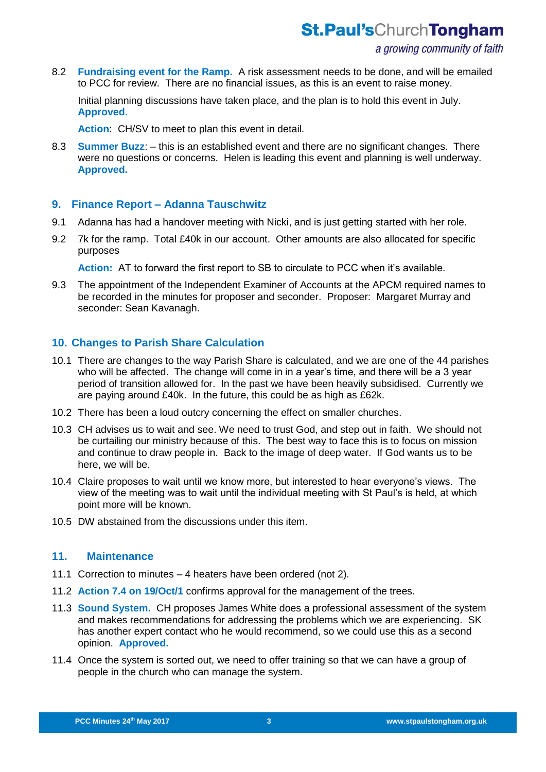**St.Paul'sChurchTongham** 

8.2 **Fundraising event for the Ramp.** A risk assessment needs to be done, and will be emailed to PCC for review. There are no financial issues, as this is an event to raise money.

Initial planning discussions have taken place, and the plan is to hold this event in July. **Approved**.

**Action**: CH/SV to meet to plan this event in detail.

8.3 **Summer Buzz**: – this is an established event and there are no significant changes. There were no questions or concerns. Helen is leading this event and planning is well underway. **Approved.**

#### **9. Finance Report – Adanna Tauschwitz**

- 9.1 Adanna has had a handover meeting with Nicki, and is just getting started with her role.
- 9.2 7k for the ramp. Total £40k in our account. Other amounts are also allocated for specific purposes

**Action:** AT to forward the first report to SB to circulate to PCC when it's available.

9.3 The appointment of the Independent Examiner of Accounts at the APCM required names to be recorded in the minutes for proposer and seconder. Proposer: Margaret Murray and seconder: Sean Kavanagh.

## **10. Changes to Parish Share Calculation**

- 10.1 There are changes to the way Parish Share is calculated, and we are one of the 44 parishes who will be affected. The change will come in in a year's time, and there will be a 3 year period of transition allowed for. In the past we have been heavily subsidised. Currently we are paying around £40k. In the future, this could be as high as £62k.
- 10.2 There has been a loud outcry concerning the effect on smaller churches.
- 10.3 CH advises us to wait and see. We need to trust God, and step out in faith. We should not be curtailing our ministry because of this. The best way to face this is to focus on mission and continue to draw people in. Back to the image of deep water. If God wants us to be here, we will be.
- 10.4 Claire proposes to wait until we know more, but interested to hear everyone's views. The view of the meeting was to wait until the individual meeting with St Paul's is held, at which point more will be known.
- 10.5 DW abstained from the discussions under this item.

#### **11. Maintenance**

- 11.1 Correction to minutes 4 heaters have been ordered (not 2).
- 11.2 **Action 7.4 on 19/Oct/1** confirms approval for the management of the trees.

- 11.3 **Sound System.** CH proposes James White does a professional assessment of the system and makes recommendations for addressing the problems which we are experiencing. SK has another expert contact who he would recommend, so we could use this as a second opinion. **Approved.**
- 11.4 Once the system is sorted out, we need to offer training so that we can have a group of people in the church who can manage the system.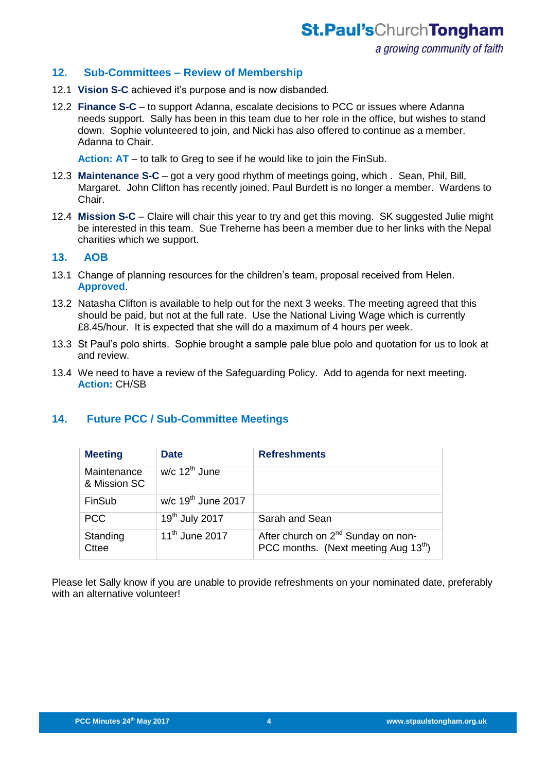a growing community of faith

## **12. Sub-Committees – Review of Membership**

- 12.1 **Vision S-C** achieved it's purpose and is now disbanded.
- 12.2 **Finance S-C** to support Adanna, escalate decisions to PCC or issues where Adanna needs support. Sally has been in this team due to her role in the office, but wishes to stand down. Sophie volunteered to join, and Nicki has also offered to continue as a member. Adanna to Chair.

**Action: AT** – to talk to Greg to see if he would like to join the FinSub.

- 12.3 **Maintenance S-C** got a very good rhythm of meetings going, which . Sean, Phil, Bill, Margaret. John Clifton has recently joined. Paul Burdett is no longer a member. Wardens to Chair.
- 12.4 **Mission S-C** Claire will chair this year to try and get this moving. SK suggested Julie might be interested in this team. Sue Treherne has been a member due to her links with the Nepal charities which we support.

## **13. AOB**

- 13.1 Change of planning resources for the children's team, proposal received from Helen. **Approved**.
- 13.2 Natasha Clifton is available to help out for the next 3 weeks. The meeting agreed that this should be paid, but not at the full rate. Use the National Living Wage which is currently £8.45/hour. It is expected that she will do a maximum of 4 hours per week.
- 13.3 St Paul's polo shirts. Sophie brought a sample pale blue polo and quotation for us to look at and review.
- 13.4 We need to have a review of the Safeguarding Policy. Add to agenda for next meeting. **Action:** CH/SB

## **14. Future PCC / Sub-Committee Meetings**

| <b>Meeting</b>              | <b>Date</b>                                 | <b>Refreshments</b>                                                                   |
|-----------------------------|---------------------------------------------|---------------------------------------------------------------------------------------|
| Maintenance<br>& Mission SC | $w/c$ 12 <sup>th</sup> June                 |                                                                                       |
| FinSub                      | $\overline{w/c}$ 19 <sup>th</sup> June 2017 |                                                                                       |
| <b>PCC</b>                  | 19 <sup>th</sup> July 2017                  | Sarah and Sean                                                                        |
| Standing<br><b>Cttee</b>    | $11^{th}$ June 2017                         | After church on 2 <sup>nd</sup> Sunday on non-<br>PCC months. (Next meeting Aug 13th) |

Please let Sally know if you are unable to provide refreshments on your nominated date, preferably with an alternative volunteer!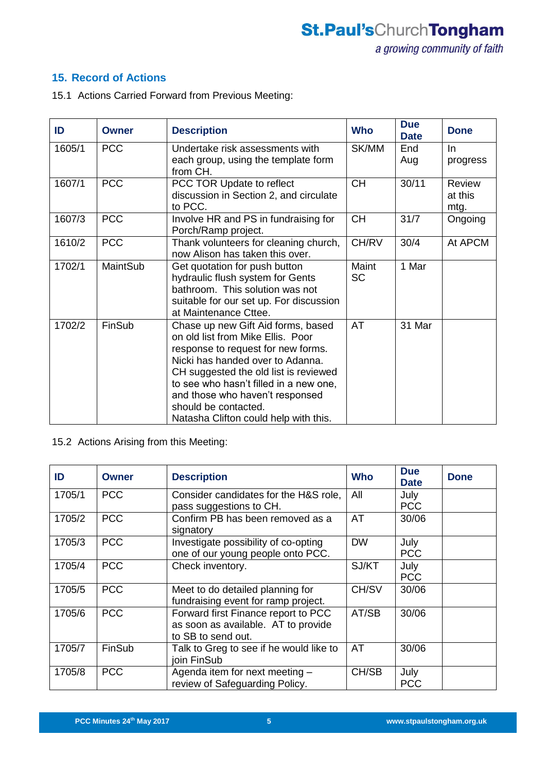# **15. Record of Actions**

15.1 Actions Carried Forward from Previous Meeting:

| ID     | <b>Owner</b> | <b>Description</b>                                                                                                                                                                                                                                                                                                                       | <b>Who</b>         | <b>Due</b><br><b>Date</b> | <b>Done</b>                      |
|--------|--------------|------------------------------------------------------------------------------------------------------------------------------------------------------------------------------------------------------------------------------------------------------------------------------------------------------------------------------------------|--------------------|---------------------------|----------------------------------|
| 1605/1 | <b>PCC</b>   | Undertake risk assessments with<br>each group, using the template form<br>from CH.                                                                                                                                                                                                                                                       | SK/MM              | End<br>Aug                | In.<br>progress                  |
| 1607/1 | <b>PCC</b>   | PCC TOR Update to reflect<br>discussion in Section 2, and circulate<br>to PCC.                                                                                                                                                                                                                                                           | <b>CH</b>          | 30/11                     | <b>Review</b><br>at this<br>mtg. |
| 1607/3 | <b>PCC</b>   | Involve HR and PS in fundraising for<br>Porch/Ramp project.                                                                                                                                                                                                                                                                              | <b>CH</b>          | 31/7                      | Ongoing                          |
| 1610/2 | <b>PCC</b>   | Thank volunteers for cleaning church,<br>now Alison has taken this over.                                                                                                                                                                                                                                                                 | CH/RV              | 30/4                      | At APCM                          |
| 1702/1 | MaintSub     | Get quotation for push button<br>hydraulic flush system for Gents<br>bathroom. This solution was not<br>suitable for our set up. For discussion<br>at Maintenance Cttee.                                                                                                                                                                 | Maint<br><b>SC</b> | 1 Mar                     |                                  |
| 1702/2 | FinSub       | Chase up new Gift Aid forms, based<br>on old list from Mike Ellis. Poor<br>response to request for new forms.<br>Nicki has handed over to Adanna.<br>CH suggested the old list is reviewed<br>to see who hasn't filled in a new one,<br>and those who haven't responsed<br>should be contacted.<br>Natasha Clifton could help with this. | <b>AT</b>          | 31 Mar                    |                                  |

15.2 Actions Arising from this Meeting:

| ID     | <b>Owner</b> | <b>Description</b>                                                                               | <b>Who</b> | <b>Due</b><br><b>Date</b> | <b>Done</b> |
|--------|--------------|--------------------------------------------------------------------------------------------------|------------|---------------------------|-------------|
| 1705/1 | <b>PCC</b>   | Consider candidates for the H&S role,<br>pass suggestions to CH.                                 | All        | July<br><b>PCC</b>        |             |
| 1705/2 | <b>PCC</b>   | Confirm PB has been removed as a<br>signatory                                                    | <b>AT</b>  | 30/06                     |             |
| 1705/3 | <b>PCC</b>   | Investigate possibility of co-opting<br>one of our young people onto PCC.                        | <b>DW</b>  | July<br><b>PCC</b>        |             |
| 1705/4 | <b>PCC</b>   | Check inventory.                                                                                 | SJ/KT      | July<br><b>PCC</b>        |             |
| 1705/5 | <b>PCC</b>   | Meet to do detailed planning for<br>fundraising event for ramp project.                          | CH/SV      | 30/06                     |             |
| 1705/6 | <b>PCC</b>   | Forward first Finance report to PCC<br>as soon as available. AT to provide<br>to SB to send out. | AT/SB      | 30/06                     |             |
| 1705/7 | FinSub       | Talk to Greg to see if he would like to<br>join FinSub                                           | <b>AT</b>  | 30/06                     |             |
| 1705/8 | <b>PCC</b>   | Agenda item for next meeting -<br>review of Safeguarding Policy.                                 | CH/SB      | July<br><b>PCC</b>        |             |